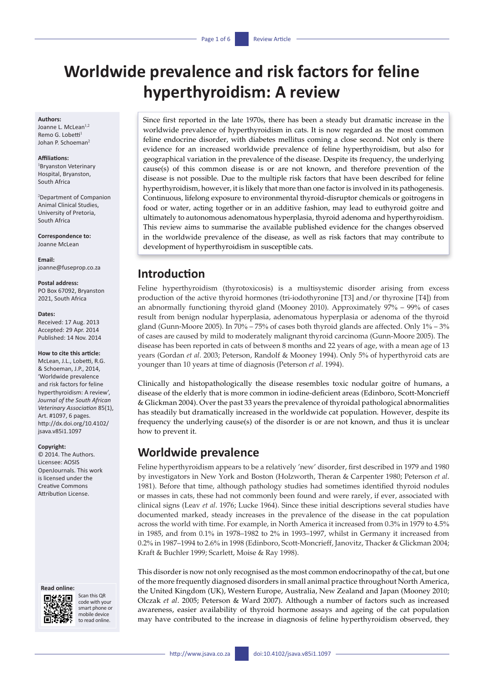# **Worldwide prevalence and risk factors for feline hyperthyroidism: A review**

#### **Authors:**

Joanne L. McLean<sup>1,2</sup> Remo G. Lobetti<sup>1</sup> Johan P. Schoeman<sup>2</sup>

#### **Affiliations:**

1 Bryanston Veterinary Hospital, Bryanston, South Africa

2 Department of Companion Animal Clinical Studies, University of Pretoria, South Africa

**Correspondence to:** Joanne McLean

**Email:** [joanne@fuseprop.co.za](mailto:joanne%40fuseprop.co.za?subject=)

#### **Postal address:** PO Box 67092, Bryanston 2021, South Africa

**Dates:**

Received: 17 Aug. 2013 Accepted: 29 Apr. 2014 Published: 14 Nov. 2014

#### **How to cite this article:**

McLean, J.L., Lobetti, R.G. & Schoeman, J.P., 2014, 'Worldwide prevalence and risk factors for feline hyperthyroidism: A review', *Journal of the South African Veterinary Association* 85(1), Art. #1097, 6 pages. [http://dx.doi.org/10.4102/](http://dx.doi.org/10.4102/jsava.v85i1.1097) [jsava.v85i1.1097](http://dx.doi.org/10.4102/jsava.v85i1.1097)

#### **Copyright:**

© 2014. The Authors. Licensee: AOSIS OpenJournals. This work is licensed under the Creative Commons Attribution License.

#### **Read online:**



Scan this QR code with your smart phone or mobile device to read online.

Since first reported in the late 1970s, there has been a steady but dramatic increase in the worldwide prevalence of hyperthyroidism in cats. It is now regarded as the most common feline endocrine disorder, with diabetes mellitus coming a close second. Not only is there evidence for an increased worldwide prevalence of feline hyperthyroidism, but also for geographical variation in the prevalence of the disease. Despite its frequency, the underlying cause(s) of this common disease is or are not known, and therefore prevention of the disease is not possible. Due to the multiple risk factors that have been described for feline hyperthyroidism, however, it is likely that more than one factor is involved in its pathogenesis. Continuous, lifelong exposure to environmental thyroid-disruptor chemicals or goitrogens in food or water, acting together or in an additive fashion, may lead to euthyroid goitre and ultimately to autonomous adenomatous hyperplasia, thyroid adenoma and hyperthyroidism. This review aims to summarise the available published evidence for the changes observed in the worldwide prevalence of the disease, as well as risk factors that may contribute to development of hyperthyroidism in susceptible cats.

# **Introduction**

Feline hyperthyroidism (thyrotoxicosis) is a multisystemic disorder arising from excess production of the active thyroid hormones (tri-iodothyronine [T3] and/or thyroxine [T4]) from an abnormally functioning thyroid gland (Mooney 2010). Approximately 97% – 99% of cases result from benign nodular hyperplasia, adenomatous hyperplasia or adenoma of the thyroid gland (Gunn-Moore 2005). In 70% – 75% of cases both thyroid glands are affected. Only 1% – 3% of cases are caused by mild to moderately malignant thyroid carcinoma (Gunn-Moore 2005). The disease has been reported in cats of between 8 months and 22 years of age, with a mean age of 13 years (Gordan *et al*. 2003; Peterson, Randolf & Mooney 1994). Only 5% of hyperthyroid cats are younger than 10 years at time of diagnosis (Peterson *et al*. 1994).

Clinically and histopathologically the disease resembles toxic nodular goitre of humans, a disease of the elderly that is more common in iodine-deficient areas (Edinboro, Scott-Moncrieff & Glickman 2004). Over the past 33 years the prevalence of thyroidal pathological abnormalities has steadily but dramatically increased in the worldwide cat population. However, despite its frequency the underlying cause(s) of the disorder is or are not known, and thus it is unclear how to prevent it.

# **Worldwide prevalence**

Feline hyperthyroidism appears to be a relatively 'new' disorder, first described in 1979 and 1980 by investigators in New York and Boston (Holzworth, Theran & Carpenter 1980; Peterson *et al*. 1981). Before that time, although pathology studies had sometimes identified thyroid nodules or masses in cats, these had not commonly been found and were rarely, if ever, associated with clinical signs (Leav *et al*. 1976; Lucke 1964). Since these initial descriptions several studies have documented marked, steady increases in the prevalence of the disease in the cat population across the world with time. For example, in North America it increased from 0.3% in 1979 to 4.5% in 1985, and from 0.1% in 1978–1982 to 2% in 1993–1997, whilst in Germany it increased from 0.2% in 1987–1994 to 2.6% in 1998 (Edinboro, Scott-Moncrieff, Janovitz, Thacker & Glickman 2004; Kraft & Buchler 1999; Scarlett, Moise & Ray 1998).

This disorder is now not only recognised as the most common endocrinopathy of the cat, but one of the more frequently diagnosed disorders in small animal practice throughout North America, the United Kingdom (UK), Western Europe, Australia, New Zealand and Japan (Mooney 2010; Olczak *et al*. 2005; Peterson & Ward 2007). Although a number of factors such as increased awareness, easier availability of thyroid hormone assays and ageing of the cat population may have contributed to the increase in diagnosis of feline hyperthyroidism observed, they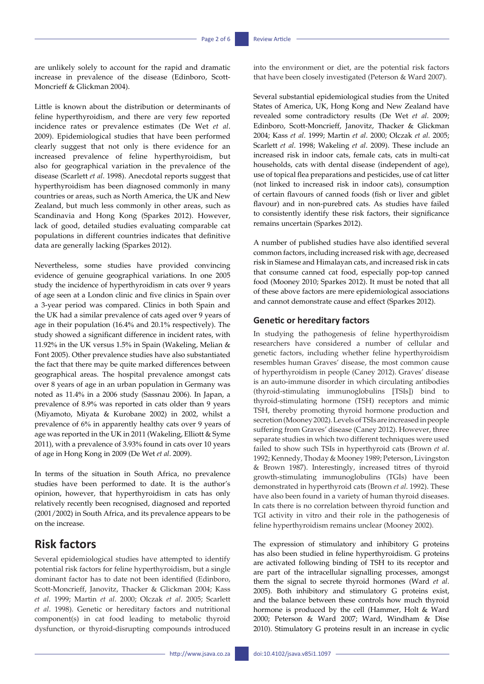are unlikely solely to account for the rapid and dramatic increase in prevalence of the disease (Edinboro, Scott-Moncrieff & Glickman 2004).

Little is known about the distribution or determinants of feline hyperthyroidism, and there are very few reported incidence rates or prevalence estimates (De Wet *et al*. 2009). Epidemiological studies that have been performed clearly suggest that not only is there evidence for an increased prevalence of feline hyperthyroidism, but also for geographical variation in the prevalence of the disease (Scarlett *et al*. 1998). Anecdotal reports suggest that hyperthyroidism has been diagnosed commonly in many countries or areas, such as North America, the UK and New Zealand, but much less commonly in other areas, such as Scandinavia and Hong Kong (Sparkes 2012). However, lack of good, detailed studies evaluating comparable cat populations in different countries indicates that definitive data are generally lacking (Sparkes 2012).

Nevertheless, some studies have provided convincing evidence of genuine geographical variations. In one 2005 study the incidence of hyperthyroidism in cats over 9 years of age seen at a London clinic and five clinics in Spain over a 3-year period was compared. Clinics in both Spain and the UK had a similar prevalence of cats aged over 9 years of age in their population (16.4% and 20.1% respectively). The study showed a significant difference in incident rates, with 11.92% in the UK versus 1.5% in Spain (Wakeling, Melian & Font 2005). Other prevalence studies have also substantiated the fact that there may be quite marked differences between geographical areas. The hospital prevalence amongst cats over 8 years of age in an urban population in Germany was noted as 11.4% in a 2006 study (Sassnau 2006). In Japan, a prevalence of 8.9% was reported in cats older than 9 years (Miyamoto, Miyata & Kurobane 2002) in 2002, whilst a prevalence of 6% in apparently healthy cats over 9 years of age was reported in the UK in 2011 (Wakeling, Elliott & Syme 2011), with a prevalence of 3.93% found in cats over 10 years of age in Hong Kong in 2009 (De Wet *et al*. 2009).

In terms of the situation in South Africa, no prevalence studies have been performed to date. It is the author's opinion, however, that hyperthyroidism in cats has only relatively recently been recognised, diagnosed and reported (2001/2002) in South Africa, and its prevalence appears to be on the increase.

# **Risk factors**

Several epidemiological studies have attempted to identify potential risk factors for feline hyperthyroidism, but a single dominant factor has to date not been identified (Edinboro, Scott-Moncrieff, Janovitz, Thacker & Glickman 2004; Kass *et al*. 1999; Martin *et al*. 2000; Olczak *et al*. 2005; Scarlett *et al*. 1998). Genetic or hereditary factors and nutritional component(s) in cat food leading to metabolic thyroid dysfunction, or thyroid-disrupting compounds introduced into the environment or diet, are the potential risk factors that have been closely investigated (Peterson & Ward 2007).

Several substantial epidemiological studies from the United States of America, UK, Hong Kong and New Zealand have revealed some contradictory results (De Wet *et al*. 2009; Edinboro, Scott-Moncrieff, Janovitz, Thacker & Glickman 2004; Kass *et al*. 1999; Martin *et al*. 2000; Olczak *et al*. 2005; Scarlett *et al*. 1998; Wakeling *et al*. 2009). These include an increased risk in indoor cats, female cats, cats in multi-cat households, cats with dental disease (independent of age), use of topical flea preparations and pesticides, use of cat litter (not linked to increased risk in indoor cats), consumption of certain flavours of canned foods (fish or liver and giblet flavour) and in non-purebred cats. As studies have failed to consistently identify these risk factors, their significance remains uncertain (Sparkes 2012).

A number of published studies have also identified several common factors, including increased risk with age, decreased risk in Siamese and Himalayan cats, and increased risk in cats that consume canned cat food, especially pop-top canned food (Mooney 2010; Sparkes 2012). It must be noted that all of these above factors are mere epidemiological associations and cannot demonstrate cause and effect (Sparkes 2012).

### **Genetic or hereditary factors**

In studying the pathogenesis of feline hyperthyroidism researchers have considered a number of cellular and genetic factors, including whether feline hyperthyroidism resembles human Graves' disease, the most common cause of hyperthyroidism in people (Caney 2012). Graves' disease is an auto-immune disorder in which circulating antibodies (thyroid-stimulating immunoglobulins [TSIs]) bind to thyroid-stimulating hormone (TSH) receptors and mimic TSH, thereby promoting thyroid hormone production and secretion (Mooney 2002). Levels of TSIs are increased in people suffering from Graves' disease (Caney 2012). However, three separate studies in which two different techniques were used failed to show such TSIs in hyperthyroid cats (Brown *et al*. 1992; Kennedy, Thoday & Mooney 1989; Peterson, Livingston & Brown 1987). Interestingly, increased titres of thyroid growth-stimulating immunoglobulins (TGIs) have been demonstrated in hyperthyroid cats (Brown *et al*. 1992). These have also been found in a variety of human thyroid diseases. In cats there is no correlation between thyroid function and TGI activity in vitro and their role in the pathogenesis of feline hyperthyroidism remains unclear (Mooney 2002).

The expression of stimulatory and inhibitory G proteins has also been studied in feline hyperthyroidism. G proteins are activated following binding of TSH to its receptor and are part of the intracellular signalling processes, amongst them the signal to secrete thyroid hormones (Ward *et al*. 2005). Both inhibitory and stimulatory G proteins exist, and the balance between these controls how much thyroid hormone is produced by the cell (Hammer, Holt & Ward 2000; Peterson & Ward 2007; Ward, Windham & Dise 2010). Stimulatory G proteins result in an increase in cyclic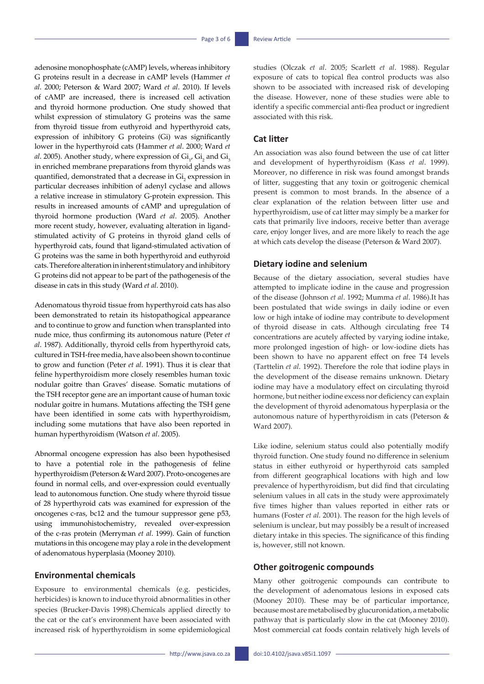adenosine monophosphate (cAMP) levels, whereas inhibitory G proteins result in a decrease in cAMP levels (Hammer *et al*. 2000; Peterson & Ward 2007; Ward *et al*. 2010). If levels of cAMP are increased, there is increased cell activation and thyroid hormone production. One study showed that whilst expression of stimulatory G proteins was the same from thyroid tissue from euthyroid and hyperthyroid cats, expression of inhibitory G proteins (Gi) was significantly lower in the hyperthyroid cats (Hammer *et al*. 2000; Ward *et al.* 2005). Another study, where expression of  $\text{Gi}_{1'}$   $\text{Gi}_{2}$  and  $\text{Gi}_{3}$ in enriched membrane preparations from thyroid glands was quantified, demonstrated that a decrease in  $\mathrm{Gi}_{_2}$  expression in particular decreases inhibition of adenyl cyclase and allows a relative increase in stimulatory G-protein expression. This results in increased amounts of cAMP and upregulation of thyroid hormone production (Ward *et al*. 2005). Another more recent study, however, evaluating alteration in ligandstimulated activity of G proteins in thyroid gland cells of hyperthyroid cats, found that ligand-stimulated activation of G proteins was the same in both hyperthyroid and euthyroid cats. Therefore alteration in inherent stimulatory and inhibitory G proteins did not appear to be part of the pathogenesis of the disease in cats in this study (Ward *et al*. 2010).

Adenomatous thyroid tissue from hyperthyroid cats has also been demonstrated to retain its histopathogical appearance and to continue to grow and function when transplanted into nude mice, thus confirming its autonomous nature (Peter *et al*. 1987). Additionally, thyroid cells from hyperthyroid cats, cultured in TSH-free media, have also been shown to continue to grow and function (Peter *et al*. 1991). Thus it is clear that feline hyperthyroidism more closely resembles human toxic nodular goitre than Graves' disease. Somatic mutations of the TSH receptor gene are an important cause of human toxic nodular goitre in humans. Mutations affecting the TSH gene have been identified in some cats with hyperthyroidism, including some mutations that have also been reported in human hyperthyroidism (Watson *et al*. 2005).

Abnormal oncogene expression has also been hypothesised to have a potential role in the pathogenesis of feline hyperthyroidism (Peterson & Ward 2007). Proto-oncogenes are found in normal cells, and over-expression could eventually lead to autonomous function. One study where thyroid tissue of 28 hyperthyroid cats was examined for expression of the oncogenes c-ras, bc12 and the tumour suppressor gene p53, using immunohistochemistry, revealed over-expression of the c-ras protein (Merryman *et al*. 1999). Gain of function mutations in this oncogene may play a role in the development of adenomatous hyperplasia (Mooney 2010).

### **Environmental chemicals**

Exposure to environmental chemicals (e.g. pesticides, herbicides) is known to induce thyroid abnormalities in other species (Brucker-Davis 1998).Chemicals applied directly to the cat or the cat's environment have been associated with increased risk of hyperthyroidism in some epidemiological

 $-$  http://www.jsava.co.za doi:10.4102/jsava.v85i1.1097 -

studies (Olczak *et al*. 2005; Scarlett *et al*. 1988). Regular exposure of cats to topical flea control products was also shown to be associated with increased risk of developing the disease. However, none of these studies were able to identify a specific commercial anti-flea product or ingredient associated with this risk.

### **Cat litter**

An association was also found between the use of cat litter and development of hyperthyroidism (Kass *et al*. 1999). Moreover, no difference in risk was found amongst brands of litter, suggesting that any toxin or goitrogenic chemical present is common to most brands. In the absence of a clear explanation of the relation between litter use and hyperthyroidism, use of cat litter may simply be a marker for cats that primarily live indoors, receive better than average care, enjoy longer lives, and are more likely to reach the age at which cats develop the disease (Peterson & Ward 2007).

### **Dietary iodine and selenium**

Because of the dietary association, several studies have attempted to implicate iodine in the cause and progression of the disease (Johnson *et al*. 1992; Mumma *et al*. 1986).It has been postulated that wide swings in daily iodine or even low or high intake of iodine may contribute to development of thyroid disease in cats. Although circulating free T4 concentrations are acutely affected by varying iodine intake, more prolonged ingestion of high- or low-iodine diets has been shown to have no apparent effect on free T4 levels (Tarttelin *et al*. 1992). Therefore the role that iodine plays in the development of the disease remains unknown. Dietary iodine may have a modulatory effect on circulating thyroid hormone, but neither iodine excess nor deficiency can explain the development of thyroid adenomatous hyperplasia or the autonomous nature of hyperthyroidism in cats (Peterson & Ward 2007).

Like iodine, selenium status could also potentially modify thyroid function. One study found no difference in selenium status in either euthyroid or hyperthyroid cats sampled from different geographical locations with high and low prevalence of hyperthyroidism, but did find that circulating selenium values in all cats in the study were approximately five times higher than values reported in either rats or humans (Foster *et al*. 2001). The reason for the high levels of selenium is unclear, but may possibly be a result of increased dietary intake in this species. The significance of this finding is, however, still not known.

### **Other goitrogenic compounds**

Many other goitrogenic compounds can contribute to the development of adenomatous lesions in exposed cats (Mooney 2010). These may be of particular importance, because most are metabolised by glucuronidation, a metabolic pathway that is particularly slow in the cat (Mooney 2010). Most commercial cat foods contain relatively high levels of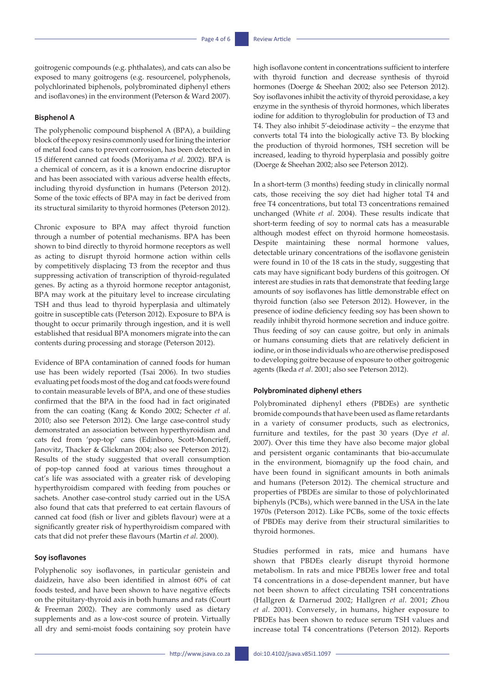goitrogenic compounds (e.g. phthalates), and cats can also be exposed to many goitrogens (e.g. resourcenel, polyphenols, polychlorinated biphenols, polybrominated diphenyl ethers and isoflavones) in the environment (Peterson & Ward 2007).

#### **Bisphenol A**

The polyphenolic compound bisphenol A (BPA), a building block of the epoxy resins commonly used for lining the interior of metal food cans to prevent corrosion, has been detected in 15 different canned cat foods (Moriyama *et al*. 2002). BPA is a chemical of concern, as it is a known endocrine disruptor and has been associated with various adverse health effects, including thyroid dysfunction in humans (Peterson 2012). Some of the toxic effects of BPA may in fact be derived from its structural similarity to thyroid hormones (Peterson 2012).

Chronic exposure to BPA may affect thyroid function through a number of potential mechanisms. BPA has been shown to bind directly to thyroid hormone receptors as well as acting to disrupt thyroid hormone action within cells by competitively displacing T3 from the receptor and thus suppressing activation of transcription of thyroid-regulated genes. By acting as a thyroid hormone receptor antagonist, BPA may work at the pituitary level to increase circulating TSH and thus lead to thyroid hyperplasia and ultimately goitre in susceptible cats (Peterson 2012). Exposure to BPA is thought to occur primarily through ingestion, and it is well established that residual BPA monomers migrate into the can contents during processing and storage (Peterson 2012).

Evidence of BPA contamination of canned foods for human use has been widely reported (Tsai 2006). In two studies evaluating pet foods most of the dog and cat foods were found to contain measurable levels of BPA, and one of these studies confirmed that the BPA in the food had in fact originated from the can coating (Kang & Kondo 2002; Schecter *et al*. 2010; also see Peterson 2012). One large case-control study demonstrated an association between hyperthyroidism and cats fed from 'pop-top' cans (Edinboro, Scott-Moncrieff, Janovitz, Thacker & Glickman 2004; also see Peterson 2012). Results of the study suggested that overall consumption of pop-top canned food at various times throughout a cat's life was associated with a greater risk of developing hyperthyroidism compared with feeding from pouches or sachets. Another case-control study carried out in the USA also found that cats that preferred to eat certain flavours of canned cat food (fish or liver and giblets flavour) were at a significantly greater risk of hyperthyroidism compared with cats that did not prefer these flavours (Martin *et al*. 2000).

#### **Soy isoflavones**

Polyphenolic soy isoflavones, in particular genistein and daidzein, have also been identified in almost 60% of cat foods tested, and have been shown to have negative effects on the pituitary-thyroid axis in both humans and rats (Court & Freeman 2002). They are commonly used as dietary supplements and as a low-cost source of protein. Virtually all dry and semi-moist foods containing soy protein have high isoflavone content in concentrations sufficient to interfere with thyroid function and decrease synthesis of thyroid hormones (Doerge & Sheehan 2002; also see Peterson 2012). Soy isoflavones inhibit the activity of thyroid peroxidase, a key enzyme in the synthesis of thyroid hormones, which liberates iodine for addition to thyroglobulin for production of T3 and T4. They also inhibit 5'-deiodinase activity – the enzyme that converts total T4 into the biologically active T3. By blocking the production of thyroid hormones, TSH secretion will be increased, leading to thyroid hyperplasia and possibly goitre (Doerge & Sheehan 2002; also see Peterson 2012).

In a short-term (3 months) feeding study in clinically normal cats, those receiving the soy diet had higher total T4 and free T4 concentrations, but total T3 concentrations remained unchanged (White *et al*. 2004). These results indicate that short-term feeding of soy to normal cats has a measurable although modest effect on thyroid hormone homeostasis. Despite maintaining these normal hormone values, detectable urinary concentrations of the isoflavone genistein were found in 10 of the 18 cats in the study, suggesting that cats may have significant body burdens of this goitrogen. Of interest are studies in rats that demonstrate that feeding large amounts of soy isoflavones has little demonstrable effect on thyroid function (also see Peterson 2012). However, in the presence of iodine deficiency feeding soy has been shown to readily inhibit thyroid hormone secretion and induce goitre. Thus feeding of soy can cause goitre, but only in animals or humans consuming diets that are relatively deficient in iodine, or in those individuals who are otherwise predisposed to developing goitre because of exposure to other goitrogenic agents (Ikeda *et al*. 2001; also see Peterson 2012).

#### **Polybrominated diphenyl ethers**

Polybrominated diphenyl ethers (PBDEs) are synthetic bromide compounds that have been used as flame retardants in a variety of consumer products, such as electronics, furniture and textiles, for the past 30 years (Dye *et al*. 2007). Over this time they have also become major global and persistent organic contaminants that bio-accumulate in the environment, biomagnify up the food chain, and have been found in significant amounts in both animals and humans (Peterson 2012). The chemical structure and properties of PBDEs are similar to those of polychlorinated biphenyls (PCBs), which were banned in the USA in the late 1970s (Peterson 2012). Like PCBs, some of the toxic effects of PBDEs may derive from their structural similarities to thyroid hormones.

Studies performed in rats, mice and humans have shown that PBDEs clearly disrupt thyroid hormone metabolism. In rats and mice PBDEs lower free and total T4 concentrations in a dose-dependent manner, but have not been shown to affect circulating TSH concentrations (Hallgren & Darnerud 2002; Hallgren *et al*. 2001; Zhou *et al*. 2001). Conversely, in humans, higher exposure to PBDEs has been shown to reduce serum TSH values and increase total T4 concentrations (Peterson 2012). Reports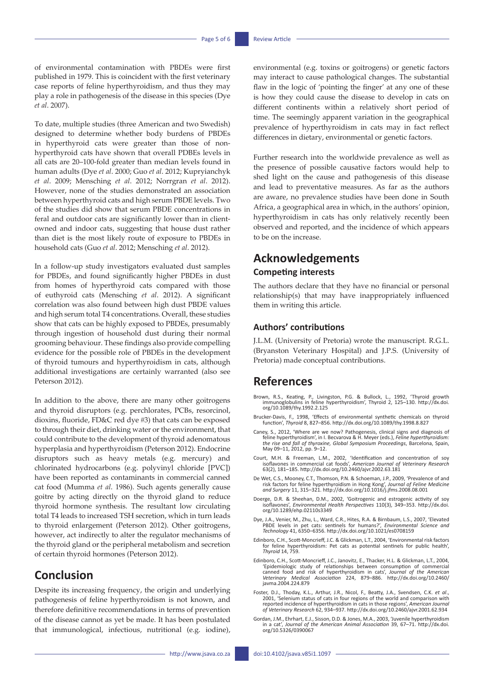of environmental contamination with PBDEs were first published in 1979. This is coincident with the first veterinary case reports of feline hyperthyroidism, and thus they may play a role in pathogenesis of the disease in this species (Dye *et al*. 2007).

To date, multiple studies (three American and two Swedish) designed to determine whether body burdens of PBDEs in hyperthyroid cats were greater than those of nonhyperthyroid cats have shown that overall PDBEs levels in all cats are 20–100-fold greater than median levels found in human adults (Dye *et al*. 2000; Guo *et al*. 2012; Kupryianchyk *et al*. 2009; Mensching *et al*. 2012; Norrgran *et al*. 2012). However, none of the studies demonstrated an association between hyperthyroid cats and high serum PBDE levels. Two of the studies did show that serum PBDE concentrations in feral and outdoor cats are significantly lower than in clientowned and indoor cats, suggesting that house dust rather than diet is the most likely route of exposure to PBDEs in household cats (Guo *et al*. 2012; Mensching *et al*. 2012).

In a follow-up study investigators evaluated dust samples for PBDEs, and found significantly higher PBDEs in dust from homes of hyperthyroid cats compared with those of euthyroid cats (Mensching *et al*. 2012). A significant correlation was also found between high dust PBDE values and high serum total T4 concentrations. Overall, these studies show that cats can be highly exposed to PBDEs, presumably through ingestion of household dust during their normal grooming behaviour. These findings also provide compelling evidence for the possible role of PBDEs in the development of thyroid tumours and hyperthyroidism in cats, although additional investigations are certainly warranted (also see Peterson 2012).

In addition to the above, there are many other goitrogens and thyroid disruptors (e.g. perchlorates, PCBs, resorcinol, dioxins, fluoride, FD&C red dye #3) that cats can be exposed to through their diet, drinking water or the environment, that could contribute to the development of thyroid adenomatous hyperplasia and hyperthyroidism (Peterson 2012). Endocrine disruptors such as heavy metals (e.g. mercury) and chlorinated hydrocarbons (e.g. polyvinyl chloride [PVC]) have been reported as contaminants in commercial canned cat food (Mumma *et al*. 1986). Such agents generally cause goitre by acting directly on the thyroid gland to reduce thyroid hormone synthesis. The resultant low circulating total T4 leads to increased TSH secretion, which in turn leads to thyroid enlargement (Peterson 2012). Other goitrogens, however, act indirectly to alter the regulator mechanisms of the thyroid gland or the peripheral metabolism and secretion of certain thyroid hormones (Peterson 2012).

# **Conclusion**

Despite its increasing frequency, the origin and underlying pathogenesis of feline hyperthyroidism is not known, and therefore definitive recommendations in terms of prevention of the disease cannot as yet be made. It has been postulated that immunological, infectious, nutritional (e.g. iodine),

environmental (e.g. toxins or goitrogens) or genetic factors may interact to cause pathological changes. The substantial flaw in the logic of 'pointing the finger' at any one of these is how they could cause the disease to develop in cats on different continents within a relatively short period of time. The seemingly apparent variation in the geographical prevalence of hyperthyroidism in cats may in fact reflect differences in dietary, environmental or genetic factors.

Further research into the worldwide prevalence as well as the presence of possible causative factors would help to shed light on the cause and pathogenesis of this disease and lead to preventative measures. As far as the authors are aware, no prevalence studies have been done in South Africa, a geographical area in which, in the authors' opinion, hyperthyroidism in cats has only relatively recently been observed and reported, and the incidence of which appears to be on the increase.

## **Acknowledgements Competing interests**

The authors declare that they have no financial or personal relationship(s) that may have inappropriately influenced them in writing this article.

### **Authors' contributions**

J.L.M. (University of Pretoria) wrote the manuscript. R.G.L. (Bryanston Veterinary Hospital) and J.P.S. (University of Pretoria) made conceptual contributions.

# **References**

- Brown, R.S., Keating, P., Livingston, P.G. & Bullock, L., 1992, 'Thyroid growth immunoglobulins in feline hyperthyroidism', Thyroid 2, 125–130. [http://dx.doi.](http://dx.doi.org/10.1089/thy.1992.2.125 ) [org/10.1089/thy.1992.2.125](http://dx.doi.org/10.1089/thy.1992.2.125 )
- Brucker-Davis, F., 1998, 'Effects of environmental synthetic chemicals on thyroid function', *Thyroid* 8, 827–856. [http://dx.doi.org/10.1089/thy.1998.8.827](http://dx.doi.org/10.1089/thy.1998.8.827 )
- Caney, S., 2012, 'Where are we now? Pathogenesis, clinical signs and diagnosis of feline hyperthyroidism', in I. Becvarova & H. Meyer (eds.), *Feline hyperthyroidism: the rise and fall of thyroxine, Global Symposium Proceedings*, Barcelona, Spain, May 09–11, 2012, pp. 9–12.
- Court, M.H. & Freeman, L.M., 2002, 'Identification and concentration of soy<br>isoflavones in commercial cat foods', *American Journal of Veterinary Research*<br>63(2), 181–185.<http://dx.doi.org/10.2460/ajvr.2002.63.181>
- De Wet, C.S., Mooney, C.T., Thomson, P.N. & Schoeman, J.P., 2009, 'Prevalence of and risk factors for feline hyperthyroidism in Hong Kong', *Journal of Feline Medicine and Surgery* 11, 315–321. [http://dx.doi.org/10.1016/j.jfms.2008.08.001](http://dx.doi.org/10.1016/j.jfms.2008.08.001 )
- Doerge, D.R. & Sheehan, D.M., 2002, 'Goitrogenic and estrogenic activity of soy isoflavones', *Environmental Health Perspectives* 110(3), 349–353. [http://dx.doi.](http://dx.doi.org/10.1289/ehp.02110s3349 ) [org/10.1289/ehp.02110s3349](http://dx.doi.org/10.1289/ehp.02110s3349 )
- Dye, J.A., Venier, M., Zhu, L., Ward, C.R., Hites, R.A. & Birnbaum, L.S., 2007, 'Elevated PBDE levels in pet cats: sentinels for humans?', *Environmental Science and Technology* 41, 6350–6356. [http://dx.doi.org/10.1021/es0708159](http://dx.doi.org/10.1021/es0708159 )
- Edinboro, C.H., Scott-Moncrieff, J.C. & Glickman, L.T., 2004, 'Environmental risk factors for feline hyperthyroidism: Pet cats as potential sentinels for public health', *Thyroid* 14, 759.
- Edinboro, C.H., Scott-Moncrieff, J.C., Janovitz, E., Thacker, H.L. & Glickman, L.T., 2004, 'Epidemiologic study of relationships between consumption of commercial canned food and risk of hyperthyroidism in cats', *Journal of the American Veterinary Medical Association* 224, 879–886. [http://dx.doi.org/10.2460/](http://dx.doi.org/10.2460/javma.2004.224.879 ) [javma.2004.224.879](http://dx.doi.org/10.2460/javma.2004.224.879 )
- Foster, D.J., Thoday, K.L., Arthur, J.R., Nicol, F., Beatty, J.A., Svendsen, C.K. et al., 2001, 'Selenium status of cats in four regions of the world and comparison with reported incidence of hyperthyroidism in cats in tho
- Gordan, J.M., Ehrhart, E.J., Sisson, D.D. & Jones, M.A., 2003, 'Juvenile hyperthyroidism<br>in a cat', *Journal of the American Animal Association* 39, 67–71. [http://dx.doi.](http://dx.doi.org/10.5326/0390067 )<br>[org/10.5326/0390067](http://dx.doi.org/10.5326/0390067 )